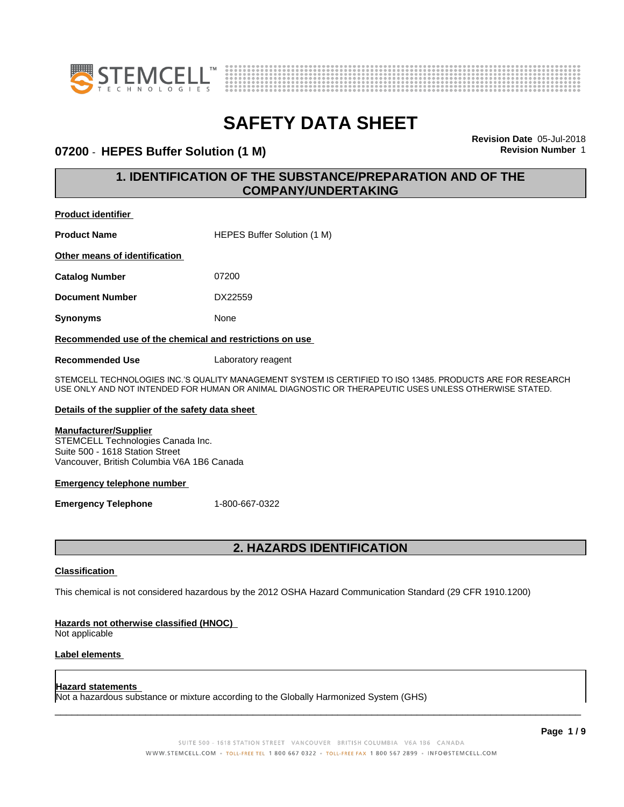



### **07200 - HEPES Buffer Solution (1 M) Revision Revision** Number 1

**Revision Date** 05-Jul-2018

### **1. IDENTIFICATION OF THE SUBSTANCE/PREPARATION AND OF THE COMPANY/UNDERTAKING**

**Product identifier**

**Product Name** HEPES Buffer Solution (1 M)

**Other means of identification**

**Catalog Number** 07200

**Document Number** DX22559

**Synonyms** None

### **Recommended use of the chemical and restrictions on use**

**Recommended Use** Laboratory reagent

STEMCELL TECHNOLOGIES INC.'S QUALITY MANAGEMENT SYSTEM IS CERTIFIED TO ISO 13485. PRODUCTS ARE FOR RESEARCH USE ONLY AND NOT INTENDED FOR HUMAN OR ANIMAL DIAGNOSTIC OR THERAPEUTIC USES UNLESS OTHERWISE STATED.

### **Details of the supplier of the safety data sheet**

### **Manufacturer/Supplier**

STEMCELL Technologies Canada Inc. Suite 500 - 1618 Station Street Vancouver, British Columbia V6A 1B6 Canada

### **Emergency telephone number**

**Emergency Telephone** 1-800-667-0322

### **2. HAZARDS IDENTIFICATION**

### **Classification**

This chemical is not considered hazardous by the 2012 OSHA Hazard Communication Standard (29 CFR 1910.1200)

### **Hazards not otherwise classified (HNOC)**

Not applicable

### **Label elements**

#### **Hazard statements**

Not a hazardous substance or mixture according to the Globally Harmonized System (GHS)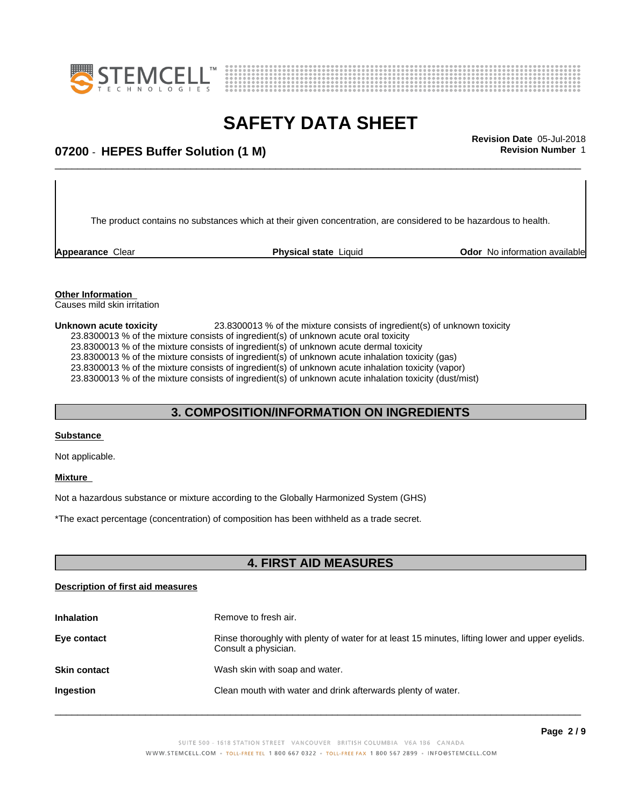



### \_\_\_\_\_\_\_\_\_\_\_\_\_\_\_\_\_\_\_\_\_\_\_\_\_\_\_\_\_\_\_\_\_\_\_\_\_\_\_\_\_\_\_\_\_\_\_\_\_\_\_\_\_\_\_\_\_\_\_\_\_\_\_\_\_\_\_\_\_\_\_\_\_\_\_\_\_\_\_\_\_\_\_\_\_\_\_\_\_\_\_\_\_ **Revision Date** 05-Jul-2018 **07200** - **HEPES Buffer Solution (1 M) Revision Number** 1

The product contains no substances which at their given concentration, are considered to be hazardous to health.

**Appearance** Clear **Physical state** Liquid **Odor No information available Appearance** Clear

#### **Other Information** Causes mild skin irritation

**Unknown acute toxicity** 23.8300013 % of the mixtureconsists of ingredient(s) of unknown toxicity 23.8300013 % of the mixture consists of ingredient(s) of unknown acute oral toxicity  $23.8300013$  % of the mixture consists of ingredient(s) of unknown acute dermal toxicity 23.8300013 % of the mixture consists of ingredient(s) of unknown acute inhalation toxicity (gas) 23.8300013 % of the mixture consists of ingredient(s) of unknown acute inhalation toxicity (vapor) 23.8300013 % of the mixture consists of ingredient(s) of unknown acute inhalation toxicity (dust/mist)

### **3. COMPOSITION/INFORMATION ON INGREDIENTS**

### **Substance**

Not applicable.

### **Mixture**

Not a hazardous substance or mixture according to the Globally Harmonized System (GHS)

\*The exact percentage (concentration) ofcomposition has been withheld as a trade secret.

### **4. FIRST AID MEASURES**

### **Description of first aid measures**

| <b>Inhalation</b>   | Remove to fresh air.                                                                                                    |
|---------------------|-------------------------------------------------------------------------------------------------------------------------|
| Eye contact         | Rinse thoroughly with plenty of water for at least 15 minutes, lifting lower and upper eyelids.<br>Consult a physician. |
| <b>Skin contact</b> | Wash skin with soap and water.                                                                                          |
| Ingestion           | Clean mouth with water and drink afterwards plenty of water.                                                            |
|                     |                                                                                                                         |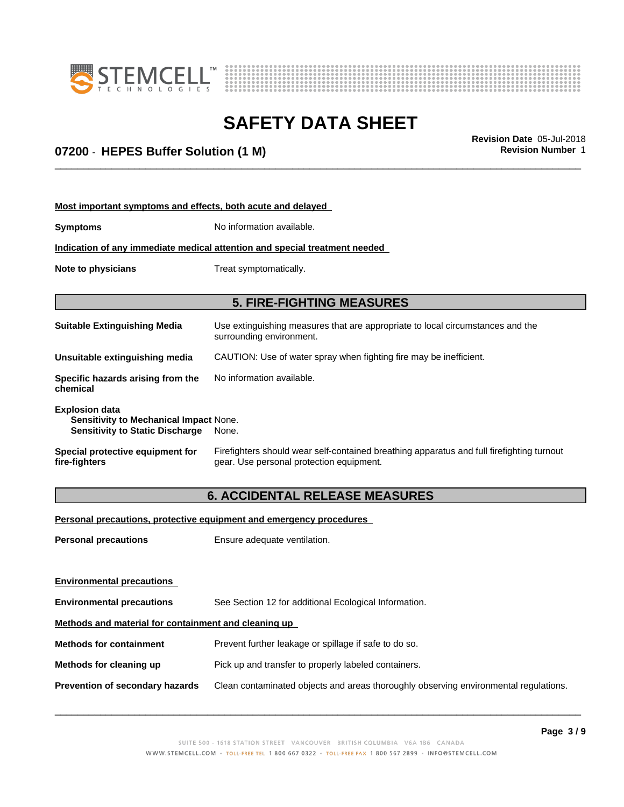



# **SAFETY DATA SHEET**<br>Revision Date 05-Jul-2018

### \_\_\_\_\_\_\_\_\_\_\_\_\_\_\_\_\_\_\_\_\_\_\_\_\_\_\_\_\_\_\_\_\_\_\_\_\_\_\_\_\_\_\_\_\_\_\_\_\_\_\_\_\_\_\_\_\_\_\_\_\_\_\_\_\_\_\_\_\_\_\_\_\_\_\_\_\_\_\_\_\_\_\_\_\_\_\_\_\_\_\_\_\_ **Revision Date** 05-Jul-2018 **07200** - **HEPES Buffer Solution (1 M) Revision Number** 1

**Most important symptoms and effects, both acute and delayed**

| <b>Symptoms</b>                                                                                           | No information available.                                                                                                             |  |
|-----------------------------------------------------------------------------------------------------------|---------------------------------------------------------------------------------------------------------------------------------------|--|
| Indication of any immediate medical attention and special treatment needed                                |                                                                                                                                       |  |
| Note to physicians                                                                                        | Treat symptomatically.                                                                                                                |  |
|                                                                                                           | <b>5. FIRE-FIGHTING MEASURES</b>                                                                                                      |  |
| <b>Suitable Extinguishing Media</b>                                                                       | Use extinguishing measures that are appropriate to local circumstances and the<br>surrounding environment.                            |  |
| Unsuitable extinguishing media                                                                            | CAUTION: Use of water spray when fighting fire may be inefficient.                                                                    |  |
| Specific hazards arising from the<br>chemical                                                             | No information available.                                                                                                             |  |
| <b>Explosion data</b><br>Sensitivity to Mechanical Impact None.<br><b>Sensitivity to Static Discharge</b> | None.                                                                                                                                 |  |
| Special protective equipment for<br>fire-fighters                                                         | Firefighters should wear self-contained breathing apparatus and full firefighting turnout<br>gear. Use personal protection equipment. |  |

### **6. ACCIDENTAL RELEASE MEASURES**

**Personal precautions, protective equipment and emergency procedures**

**Personal precautions** Ensure adequate ventilation.

| <b>Environmental precautions</b>                     |                                                                                      |  |  |
|------------------------------------------------------|--------------------------------------------------------------------------------------|--|--|
| <b>Environmental precautions</b>                     | See Section 12 for additional Ecological Information.                                |  |  |
| Methods and material for containment and cleaning up |                                                                                      |  |  |
| <b>Methods for containment</b>                       | Prevent further leakage or spillage if safe to do so.                                |  |  |
| Methods for cleaning up                              | Pick up and transfer to properly labeled containers.                                 |  |  |
| <b>Prevention of secondary hazards</b>               | Clean contaminated objects and areas thoroughly observing environmental regulations. |  |  |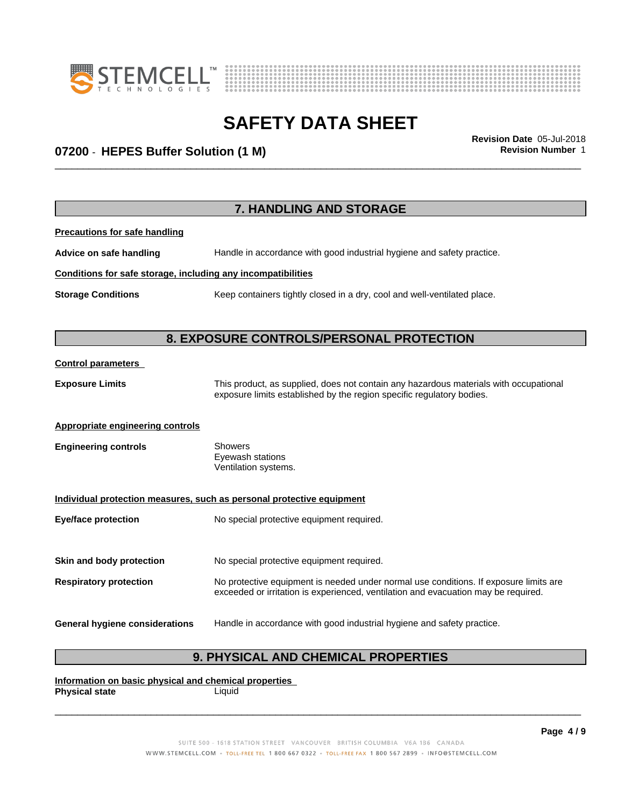



### \_\_\_\_\_\_\_\_\_\_\_\_\_\_\_\_\_\_\_\_\_\_\_\_\_\_\_\_\_\_\_\_\_\_\_\_\_\_\_\_\_\_\_\_\_\_\_\_\_\_\_\_\_\_\_\_\_\_\_\_\_\_\_\_\_\_\_\_\_\_\_\_\_\_\_\_\_\_\_\_\_\_\_\_\_\_\_\_\_\_\_\_\_ **Revision Date** 05-Jul-2018 **07200** - **HEPES Buffer Solution (1 M) Revision Number** 1

|                                                              | 7. HANDLING AND STORAGE                                                                                                                                                     |  |  |
|--------------------------------------------------------------|-----------------------------------------------------------------------------------------------------------------------------------------------------------------------------|--|--|
| <b>Precautions for safe handling</b>                         |                                                                                                                                                                             |  |  |
| Advice on safe handling                                      | Handle in accordance with good industrial hygiene and safety practice.                                                                                                      |  |  |
| Conditions for safe storage, including any incompatibilities |                                                                                                                                                                             |  |  |
| <b>Storage Conditions</b>                                    | Keep containers tightly closed in a dry, cool and well-ventilated place.                                                                                                    |  |  |
| 8. EXPOSURE CONTROLS/PERSONAL PROTECTION                     |                                                                                                                                                                             |  |  |
| <b>Control parameters</b>                                    |                                                                                                                                                                             |  |  |
| <b>Exposure Limits</b>                                       | This product, as supplied, does not contain any hazardous materials with occupational<br>exposure limits established by the region specific regulatory bodies.              |  |  |
| <b>Appropriate engineering controls</b>                      |                                                                                                                                                                             |  |  |
| <b>Engineering controls</b>                                  | <b>Showers</b><br>Eyewash stations<br>Ventilation systems.                                                                                                                  |  |  |
|                                                              | Individual protection measures, such as personal protective equipment                                                                                                       |  |  |
| <b>Eye/face protection</b>                                   | No special protective equipment required.                                                                                                                                   |  |  |
| Skin and body protection                                     | No special protective equipment required.                                                                                                                                   |  |  |
| <b>Respiratory protection</b>                                | No protective equipment is needed under normal use conditions. If exposure limits are<br>exceeded or irritation is experienced, ventilation and evacuation may be required. |  |  |
| <b>General hygiene considerations</b>                        | Handle in accordance with good industrial hygiene and safety practice.                                                                                                      |  |  |

### **9. PHYSICAL AND CHEMICAL PROPERTIES**

**Information on basic physical and chemical properties Physical state**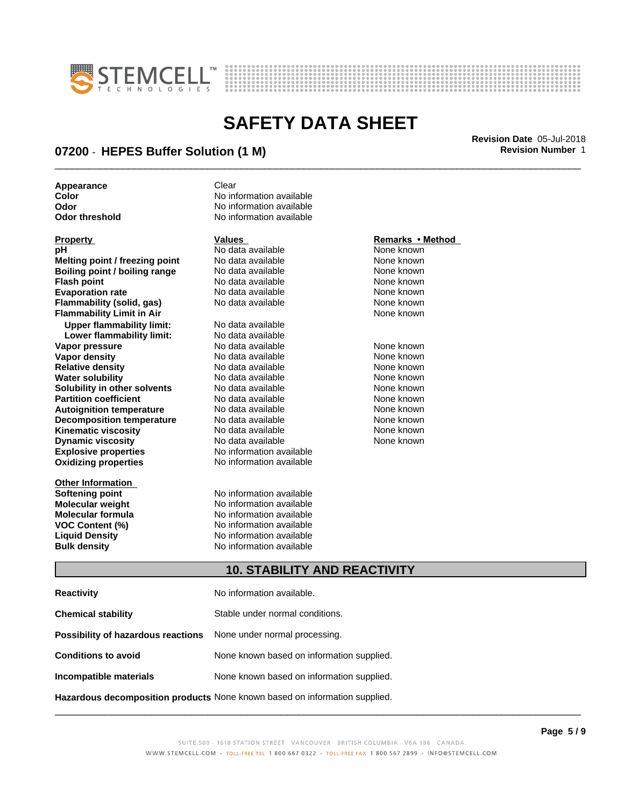



### \_\_\_\_\_\_\_\_\_\_\_\_\_\_\_\_\_\_\_\_\_\_\_\_\_\_\_\_\_\_\_\_\_\_\_\_\_\_\_\_\_\_\_\_\_\_\_\_\_\_\_\_\_\_\_\_\_\_\_\_\_\_\_\_\_\_\_\_\_\_\_\_\_\_\_\_\_\_\_\_\_\_\_\_\_\_\_\_\_\_\_\_\_ **Revision Date** 05-Jul-2018 **07200** - **HEPES Buffer Solution (1 M) Revision Number** 1

**Appearance** Clear

| <b>FIUDEILY</b>                  | values.                  | Reliidiks "Illetiivu |
|----------------------------------|--------------------------|----------------------|
| рH                               | No data available        | None known           |
| Melting point / freezing point   | No data available        | None known           |
| Boiling point / boiling range    | No data available        | None known           |
| <b>Flash point</b>               | No data available        | None known           |
| <b>Evaporation rate</b>          | No data available        | None known           |
| Flammability (solid, gas)        | No data available        | None known           |
| <b>Flammability Limit in Air</b> |                          | None known           |
| <b>Upper flammability limit:</b> | No data available        |                      |
| Lower flammability limit:        | No data available        |                      |
| Vapor pressure                   | No data available        | None known           |
| Vapor density                    | No data available        | None known           |
| <b>Relative density</b>          | No data available        | None known           |
| <b>Water solubility</b>          | No data available        | None known           |
| Solubility in other solvents     | No data available        | None known           |
| <b>Partition coefficient</b>     | No data available        | None known           |
| <b>Autoignition temperature</b>  | No data available        | None known           |
| <b>Decomposition temperature</b> | No data available        | None known           |
| <b>Kinematic viscosity</b>       | No data available        | None known           |
| <b>Dynamic viscosity</b>         | No data available        | None known           |
| <b>Explosive properties</b>      | No information available |                      |
| <b>Oxidizing properties</b>      | No information available |                      |
| <b>Other Information</b>         |                          |                      |

**Color Color Color Color Color Color Color Color Color Color Color No** information available **No information available Odor threshold** No information available

**Softening point No information available**<br> **Molecular weight No information available Molecular weight Molecular is a structure of the No information available Molecular formula Molecular System Molecular formula Molecular formula** No information available<br> **VOC Content (%)** No information available **VOC Content (%)** No information available **Liquid Density** No information available **Bulk density** No information available

### **Property Remarks • Method Values Remarks • Method**

### **10. STABILITY AND REACTIVITY**

| <b>Reactivity</b>                                                          | No information available.                 |
|----------------------------------------------------------------------------|-------------------------------------------|
| <b>Chemical stability</b>                                                  | Stable under normal conditions.           |
| Possibility of hazardous reactions                                         | None under normal processing.             |
| <b>Conditions to avoid</b>                                                 | None known based on information supplied. |
| Incompatible materials                                                     | None known based on information supplied. |
| Hazardous decomposition products None known based on information supplied. |                                           |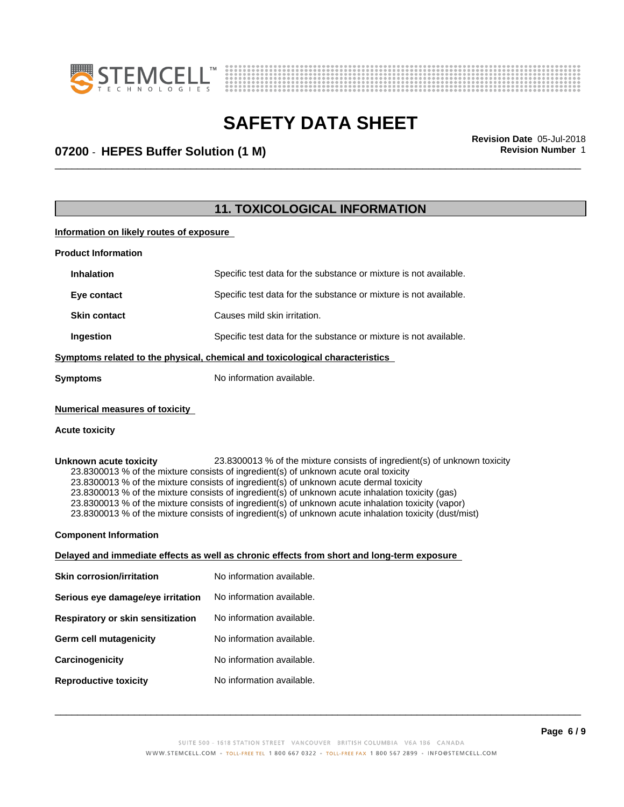



### \_\_\_\_\_\_\_\_\_\_\_\_\_\_\_\_\_\_\_\_\_\_\_\_\_\_\_\_\_\_\_\_\_\_\_\_\_\_\_\_\_\_\_\_\_\_\_\_\_\_\_\_\_\_\_\_\_\_\_\_\_\_\_\_\_\_\_\_\_\_\_\_\_\_\_\_\_\_\_\_\_\_\_\_\_\_\_\_\_\_\_\_\_ **Revision Date** 05-Jul-2018 **07200** - **HEPES Buffer Solution (1 M) Revision Number** 1

### **11. TOXICOLOGICAL INFORMATION**

**Information on likely routes of exposure**

| <b>Product Information</b> |                                                                   |  |  |
|----------------------------|-------------------------------------------------------------------|--|--|
| <b>Inhalation</b>          | Specific test data for the substance or mixture is not available. |  |  |
| Eye contact                | Specific test data for the substance or mixture is not available. |  |  |
| <b>Skin contact</b>        | Causes mild skin irritation.                                      |  |  |
| Ingestion                  | Specific test data for the substance or mixture is not available. |  |  |
|                            |                                                                   |  |  |

#### **<u>Symptoms related to the physical, chemical and toxicological characteristics</u>**

**Symptoms** No information available.

#### **Numerical measures of toxicity**

#### **Acute toxicity**

**Unknown acute toxicity** 23.8300013 % of the mixtureconsists of ingredient(s) of unknown toxicity 23.8300013 % of the mixture consists of ingredient(s) of unknown acute oral toxicity 23.8300013 % of the mixture consists of ingredient(s) of unknown acute dermal toxicity 23.8300013 % of the mixture consists of ingredient(s) of unknown acute inhalation toxicity (gas) 23.8300013 % of the mixture consists of ingredient(s) of unknown acute inhalation toxicity (vapor) 23.8300013 % of the mixture consists of ingredient(s) of unknown acute inhalation toxicity (dust/mist)

#### **Component Information**

### **Delayed and immediate effects as well as chronic effects from short and long-term exposure**

| Skin corrosion/irritation         | No information available. |
|-----------------------------------|---------------------------|
| Serious eye damage/eye irritation | No information available. |
| Respiratory or skin sensitization | No information available. |
| Germ cell mutagenicity            | No information available. |
| Carcinogenicity                   | No information available. |
| <b>Reproductive toxicity</b>      | No information available. |
|                                   |                           |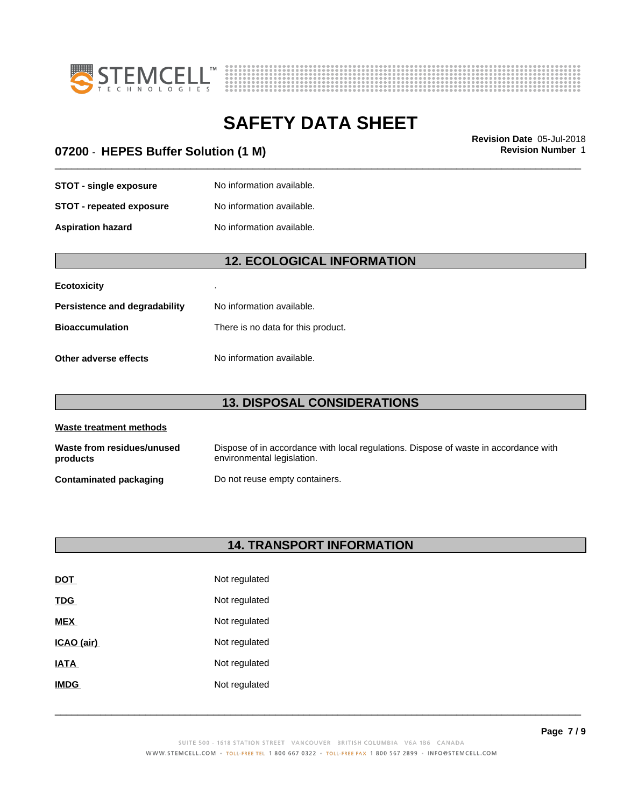



### **07200** - **HEPES Buffer Solution (1 M) Revision Number** 1

# \_\_\_\_\_\_\_\_\_\_\_\_\_\_\_\_\_\_\_\_\_\_\_\_\_\_\_\_\_\_\_\_\_\_\_\_\_\_\_\_\_\_\_\_\_\_\_\_\_\_\_\_\_\_\_\_\_\_\_\_\_\_\_\_\_\_\_\_\_\_\_\_\_\_\_\_\_\_\_\_\_\_\_\_\_\_\_\_\_\_\_\_\_ **Revision Date** 05-Jul-2018

**STOT** - **single exposure** No information available. **STOT** - **repeated exposure** No information available.

**Aspiration hazard** No information available.

### **12. ECOLOGICAL INFORMATION**

| <b>Ecotoxicity</b>            | ٠                                  |
|-------------------------------|------------------------------------|
| Persistence and degradability | No information available.          |
| <b>Bioaccumulation</b>        | There is no data for this product. |
| Other adverse effects         | No information available.          |

### **13. DISPOSAL CONSIDERATIONS**

| Waste treatment methods                |                                                                                                                    |  |
|----------------------------------------|--------------------------------------------------------------------------------------------------------------------|--|
| Waste from residues/unused<br>products | Dispose of in accordance with local regulations. Dispose of waste in accordance with<br>environmental legislation. |  |
| <b>Contaminated packaging</b>          | Do not reuse empty containers.                                                                                     |  |

### **14. TRANSPORT INFORMATION**

| <b>DOT</b>        | Not regulated |
|-------------------|---------------|
| TDG               | Not regulated |
| <b>MEX</b>        | Not regulated |
| <u>ICAO (air)</u> | Not regulated |
| <b>ATAI</b>       | Not regulated |
| <b>IMDG</b>       | Not regulated |
|                   |               |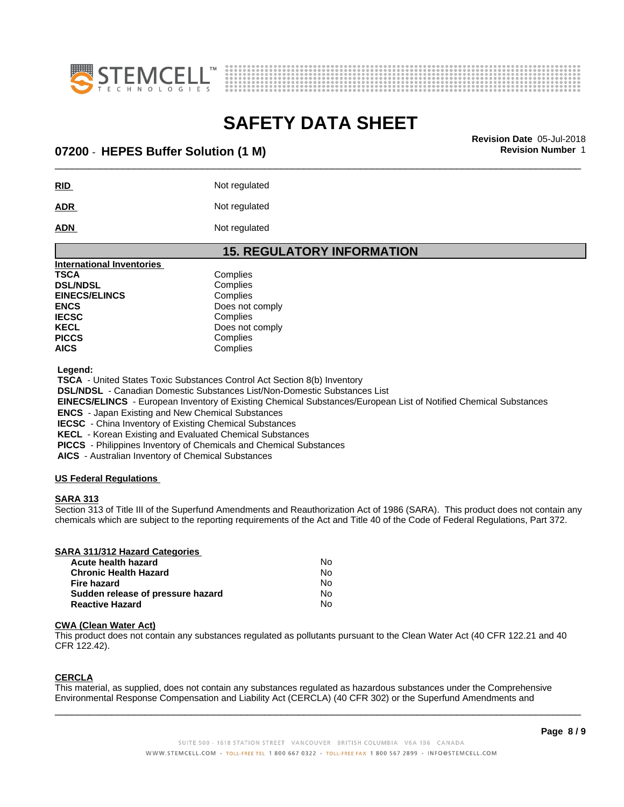



### \_\_\_\_\_\_\_\_\_\_\_\_\_\_\_\_\_\_\_\_\_\_\_\_\_\_\_\_\_\_\_\_\_\_\_\_\_\_\_\_\_\_\_\_\_\_\_\_\_\_\_\_\_\_\_\_\_\_\_\_\_\_\_\_\_\_\_\_\_\_\_\_\_\_\_\_\_\_\_\_\_\_\_\_\_\_\_\_\_\_\_\_\_ **Revision Date** 05-Jul-2018 **07200** - **HEPES Buffer Solution (1 M) Revision Number** 1

**RID** Not regulated

ADR Not regulated

**ADN** Not regulated

### **15. REGULATORY INFORMATION**

| <b>International Inventories</b> |                 |  |
|----------------------------------|-----------------|--|
| TSCA                             | Complies        |  |
| <b>DSL/NDSL</b>                  | Complies        |  |
| <b>EINECS/ELINCS</b>             | Complies        |  |
| ENCS                             | Does not comply |  |
| <b>IECSC</b>                     | Complies        |  |
| KECL                             | Does not comply |  |
| PICCS                            | Complies        |  |
| AICS                             | Complies        |  |

 **Legend:**

 **TSCA** - United States Toxic Substances Control Act Section 8(b) Inventory

 **DSL/NDSL** - Canadian Domestic Substances List/Non-Domestic Substances List

 **EINECS/ELINCS** - European Inventory of Existing Chemical Substances/European List of Notified Chemical Substances

 **ENCS** - Japan Existing and New Chemical Substances

 **IECSC** - China Inventory of Existing Chemical Substances

 **KECL** - Korean Existing and Evaluated Chemical Substances

 **PICCS** - Philippines Inventory of Chemicals and Chemical Substances

 **AICS** - Australian Inventory of Chemical Substances

### **US Federal Regulations**

### **SARA 313**

Section 313 of Title III of the Superfund Amendments and Reauthorization Act of 1986 (SARA). This product does not contain any chemicals which are subject to the reporting requirements of the Act and Title 40 of the Code of Federal Regulations, Part 372.

| SARA 311/312 Hazard Categories    |    |  |
|-----------------------------------|----|--|
| Acute health hazard               | No |  |
| <b>Chronic Health Hazard</b>      | N٥ |  |
| Fire hazard                       | No |  |
| Sudden release of pressure hazard | No |  |
| <b>Reactive Hazard</b>            | No |  |

### **CWA** (Clean Water Act)

This product does not contain any substances regulated as pollutants pursuant to the Clean Water Act (40 CFR 122.21 and 40 CFR 122.42).

### **CERCLA**

This material, as supplied, does not contain any substances regulated as hazardous substances under the Comprehensive Environmental Response Compensation and Liability Act (CERCLA) (40 CFR 302) or the Superfund Amendments and